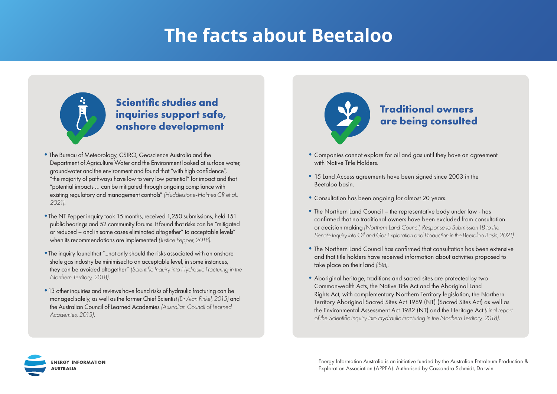# **The facts about Beetaloo**



### **Scientific studies and inquiries support safe, onshore development**

- •The Bureau of Meteorology, CSIRO, Geoscience Australia and the Department of Agriculture Water and the Environment looked at surface water, groundwater and the environment and found that "with high confidence", "the majority of pathways have low to very low potential" for impact and that "potential impacts … can be mitigated through ongoing compliance with existing regulatory and management controls" *(Huddlestone-Holmes CR et al., 2021)*.
- •The NT Pepper inquiry took 15 months, received 1,250 submissions, held 151 public hearings and 52 community forums. It found that risks can be "mitigated or reduced – and in some cases eliminated altogether" to acceptable levels" when its recommendations are implemented *(Justice Pepper, 2018)*.
- •The inquiry found that "...not only should the risks associated with an onshore shale gas industry be minimised to an acceptable level, in some instances, they can be avoided altogether" *(Scientific Inquiry into Hydraulic Fracturing in the Northern Territory, 2018)*.
- •13 other inquiries and reviews have found risks of hydraulic fracturing can be managed safely, as well as the former Chief Scientist*(Dr Alan Finkel, 2015)* and the Australian Council of Learned Academies *(Australian Council of Learned Academies, 2013)*.



- •Companies cannot explore for oil and gas until they have an agreement with Native Title Holders.
- •15 Land Access agreements have been signed since 2003 in the Beetaloo basin.
- •Consultation has been ongoing for almost 20 years.
- The Northern Land Council the representative body under law has confirmed that no traditional owners have been excluded from consultation or decision making *(Northern Land Council, Response to Submission 18 to the Senate Inquiry into Oil and Gas Exploration and Production in the Beetaloo Basin, 2021)*.
- •The Northern Land Council has confirmed that consultation has been extensive and that title holders have received information about activities proposed to take place on their land *(ibid)*.
- •Aboriginal heritage, traditions and sacred sites are protected by two Commonwealth Acts, the Native Title Act and the Aboriginal Land Rights Act, with complementary Northern Territory legislation, the Northern Territory Aboriginal Sacred Sites Act 1989 (NT) (Sacred Sites Act) as well as the Environmental Assessment Act 1982 (NT) and the Heritage Act*(Final report of the Scientific Inquiry into Hydraulic Fracturing in the Northern Territory, 2018)*.

**ENERGY INFORMATION NUSTRALIA** 

Energy Information Australia is an initiative funded by the Australian Petroleum Production & Exploration Association (APPEA). Authorised by Cassandra Schmidt, Darwin.